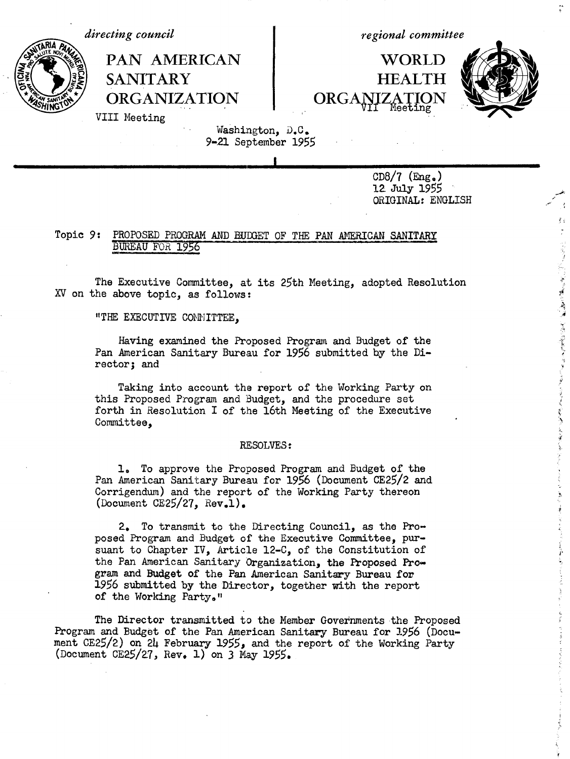*directing council*

*regional committee*

PAN AMERICAN | WORLD **SANITARY HEALTH ORGANIZATION | ORGA** 



素子  $\frac{1}{\epsilon}$ 

「小さけん」「新学生を通信の安全をもちらすことをころする、あることをしていることによることをして、

しそん あっぷ ようちょうしゅうきょう

VIII Meeting

Washington, D.C. 9-21 September 1955

**I**

CD8/7  $(Eng<sub>•</sub>)$ 12 July 1955 ORIGINAL: ENGLISH

#### Topic 9: PROPOSED PROGRAM AND BUDGET OF THE PAN AMERICAN SANITARY **BUREAU FOR 1956**

The Executive Committee, at its 25th Meeting, adopted Resolution XV on the above topic, as follows:

#### "THE EXECUTIVE COMMITTEE.

Having examined the Proposed Program and Budget of the Pan American Sanitary Bureau for 1956 submitted by the Director; and

Taking into account the report of the Working Party on this Proposed Program and Budget, and the procedure set forth in Resolution I of the 16th Meeting of the Executive Committee,

#### RESOLVES:

1. To approve the Proposed Program and Budget of the Pan American Sanitary Bureau for 1956 (Document CE25/2 and Corrigendum) and the report of the Working Party thereon (Document  $CE25/27$ , Rev.1).

2. To transmit to the Directing Council, as the Proposed Program and Budget of the Executive Committee, pursuant to Chapter IV, Article 12-C, of the Constitution of the Pan American Sanitary Organization, the Proposed Program and Budget of the Pan American Sanitary Bureau for 1956 submitted by the Director, together with the report of the Working Party."

The Director transmitted to the Member Governments the Proposed Program and Budget of the Pan American Sanitary Bureau for 1956 (Document CE25/2) on 24 February 1955, and the report of the Working Party (Document CE25/27, Rev. 1) on 3 May 1955.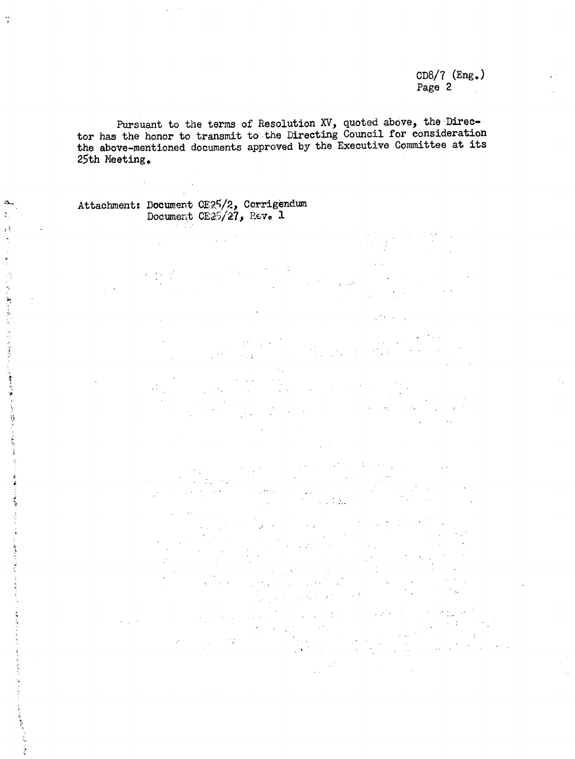CD8/7 (Eng.) Page 2

Pursuant to the terms of Resolution XV, quoted above, the Director has the honor to transmit to the Directing Council for consideration the above-mentioned documents approved by the Executive Committee at its 25th Meeting.

### Attachment: Document CE25/2, Corrigendum Document  $CE25/27$ , Rev. 1

 $\frac{1}{2}$ 

εż., ţ.  $\frac{1}{2}$   $\frac{3}{2}$ 

ł

(2) たい 解説 日本の家

この大学的な しんきょう 大量の

ويتوجه

į

 $\label{eq:3.1} \mathcal{V}=\frac{1}{2}\left(\frac{1}{2}-\frac{1}{2}\right)^2$  $\frac{1}{2}$  ,  $\frac{1}{2}$ 

 $\frac{1}{2}$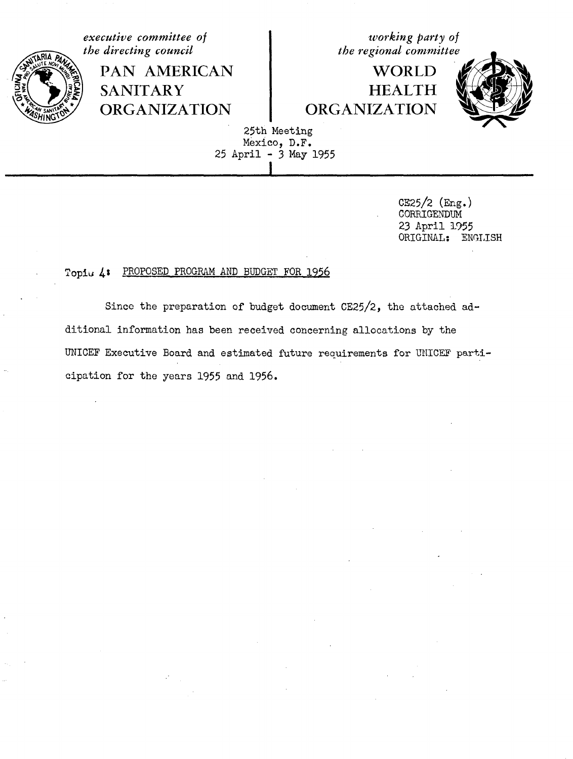*executive committee of the directing council*



**PAN AMERICAN SANITARY ORGANIZATION**

*working party of the regional committee*

**WORLD HEALTH ORGANIZATION**



25th Meeting Mexico, D.F. 25 April -  $3$  May 1955

l

\_\_

 $CE25/2$  (Eng.) CORRIGENDUM 23 April 1955 ORIGINAL: ENGLISH

## Topiu 4t PROPOSED PROGRAM AND BUDGET FOR 1956

Since the preparation of budget document CE25/2, the attached additional information has been received concerning allocations by the UNICEF Executive Board and estimated future requirements for UNICEF participation for the years 1955 and 1956.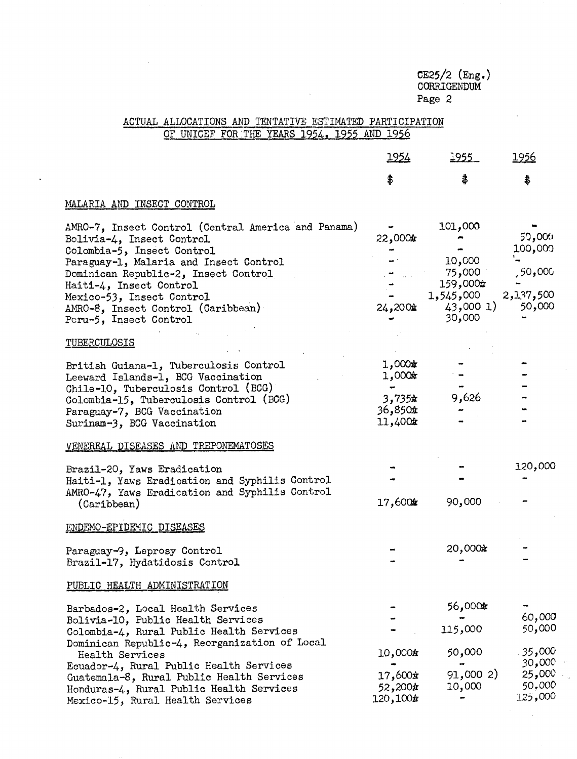CE25/2 (Eng.) CORRIGENDUM Page 2

# ACTUAL ALLOCATIONS AND TENTATIVE ESTIMATED PARTICIPATION OF UNICEF FOR THE YEARS 1954, 1955 AND 1956

|                                                                                                                                                                                                                                                                                                                          | 1954                                                                       | $1955 -$                                                                     | <u> 1956</u>                                        |
|--------------------------------------------------------------------------------------------------------------------------------------------------------------------------------------------------------------------------------------------------------------------------------------------------------------------------|----------------------------------------------------------------------------|------------------------------------------------------------------------------|-----------------------------------------------------|
|                                                                                                                                                                                                                                                                                                                          | \$                                                                         | \$                                                                           | \$                                                  |
| MALARIA AND INSECT CONTROL                                                                                                                                                                                                                                                                                               |                                                                            |                                                                              |                                                     |
| AMRO-7, Insect Control (Central America and Panama)<br>Bolivia-4, Insect Control<br>Colombia-5, Insect Control<br>Paraguay-1, Malaria and Insect Control<br>Dominican Republic-2, Insect Control<br>Haiti-4, Insect Control<br>Mexico-53, Insect Control<br>AMRO-8, Insect Control (Caribbean)<br>Peru-5, Insect Control | 22,000 $\pm$<br>24,200#                                                    | 101,000<br>10,000<br>75,000<br>159,000\$<br>1,545,000<br>43,000 1)<br>30,000 | 50,000<br>100,000<br>,50,000<br>2,137,500<br>50,000 |
| TUBERCULOSIS                                                                                                                                                                                                                                                                                                             |                                                                            |                                                                              |                                                     |
| British Guiana-1, Tuberculosis Control<br>Leeward Islands-1, BCG Vaccination<br>Chile-10, Tuberculosis Control (BCG)<br>Colombia-15, Tuberculosis Control (BCG)<br>Paraguay-7, BCG Vaccination<br>Surinam-3, BCG Vaccination                                                                                             | $1,000$ $\pm$<br>$1,000$ <sup>*</sup><br>$3,735$ *<br>36,850 ±<br>11,400 ± | 9,626                                                                        |                                                     |
| VENEREAL DISEASES AND TREPONEMATOSES                                                                                                                                                                                                                                                                                     |                                                                            |                                                                              |                                                     |
| Brazil-20, Yaws Eradication<br>Haiti-1, Yaws Eradication and Syphilis Control<br>AMRO-47, Yaws Eradication and Syphilis Control<br>(Caribbean)                                                                                                                                                                           | 17,600                                                                     | 90,000                                                                       | 120,000                                             |
| ENDEMO-EPIDEMIC DISEASES                                                                                                                                                                                                                                                                                                 |                                                                            |                                                                              |                                                     |
| Paraguay-9, Leprosy Control<br>Brazil-17, Hydatidosis Control                                                                                                                                                                                                                                                            |                                                                            | 20,000\$                                                                     |                                                     |
| PUBLIC HEALTH ADMINISTRATION                                                                                                                                                                                                                                                                                             |                                                                            |                                                                              |                                                     |
| Barbados-2, Local Health Services<br>Bolivia-10, Public Health Services<br>Colombia-4, Rural Public Health Services<br>Dominican Republic-4, Reorganization of Local                                                                                                                                                     |                                                                            | 56,000<br>115,000                                                            | 60,000<br>50,000                                    |
| Health Services<br>Ecuador-4, Rural Public Health Services<br>Guatemala-8, Rural Public Health Services<br>Honduras-4, Rural Public Health Services<br>Mexico-15, Rural Health Services                                                                                                                                  | 10,000 $\pm$<br>17,600#<br>52,200\$<br>120,100\$                           | 50,000<br>91,000 2)<br>10,000                                                | $-35,000$<br>30,000<br>25,000<br>50,000<br>125,000  |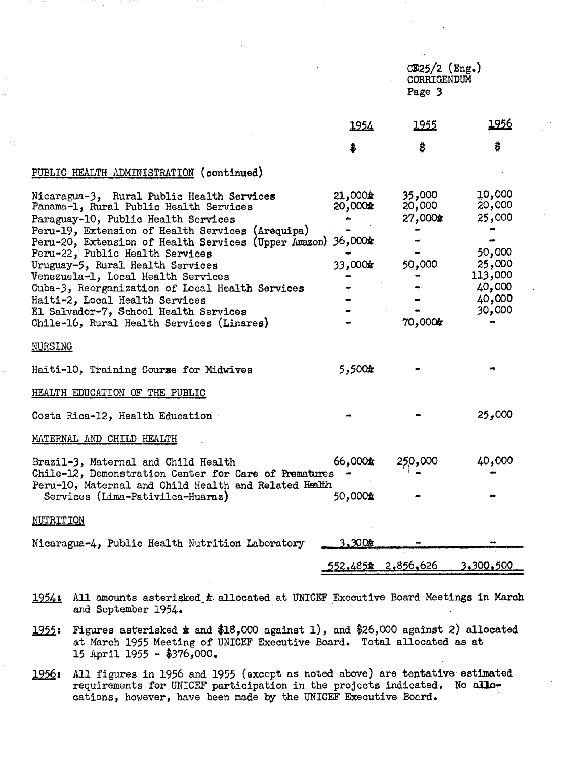$C$ E25/2 (Eng.) **CORRIGENDUM** Page 3

|                                                                                                                                                                                                                                                                                                               | 1954                                           | <u> 1955 </u>                          | <u> 1956 </u>                                  |
|---------------------------------------------------------------------------------------------------------------------------------------------------------------------------------------------------------------------------------------------------------------------------------------------------------------|------------------------------------------------|----------------------------------------|------------------------------------------------|
|                                                                                                                                                                                                                                                                                                               |                                                | 北                                      |                                                |
| PUBLIC HEALTH ADMINISTRATION (continued)                                                                                                                                                                                                                                                                      |                                                |                                        |                                                |
| Nicaragua-3, Rural Public Health Services<br>Panama-1, Rural Public Health Services<br>Paraguay-10, Public Health Services<br>Peru-19, Extension of Health Services (Arequipa)<br>Peru-20, Extension of Health Services (Upper Amazon)<br>Peru-22, Public Health Services<br>Uruguay-5, Rural Health Services | 21,000\$<br>20,000 $\pm$<br>36,000t<br>33,000# | 35,000<br>20,000<br>27,000\$<br>50,000 | 10,000<br>20,000<br>25,000<br>50,000<br>25,000 |
| Venezuela-1, Local Health Services<br>Cuba-3, Reorganization of Local Health Services<br>Haiti-2, Local Health Services<br>El Salvador-7, School Health Services<br>Chile-16, Rural Health Services (Linares)                                                                                                 |                                                | 70,000\$                               | 113,000<br>40,000<br>40,000<br>30,000          |
| <b>NURSING</b>                                                                                                                                                                                                                                                                                                |                                                |                                        |                                                |
| Haiti-10, Training Course for Midwives                                                                                                                                                                                                                                                                        | 5,500\$                                        |                                        |                                                |
| HEALTH EDUCATION OF THE PUBLIC                                                                                                                                                                                                                                                                                |                                                |                                        |                                                |
| Costa Rica-12, Health Education                                                                                                                                                                                                                                                                               |                                                |                                        | 25,000                                         |
| MATERNAL AND CHILD HEALTH                                                                                                                                                                                                                                                                                     |                                                |                                        |                                                |
| Brazil-3, Maternal and Child Health<br>Chile-12, Demonstration Center for Care of Prematures<br>Peru-10, Maternal and Child Health and Related Health                                                                                                                                                         | 66,000 <sup>t</sup>                            | 250,000                                | 40,000                                         |
| Services (Lima-Pativilca-Huaraz)                                                                                                                                                                                                                                                                              | 50,000\$                                       |                                        |                                                |
| NUTRITION                                                                                                                                                                                                                                                                                                     |                                                |                                        |                                                |
| Nicaragua-4, Public Health Nutrition Laboratory                                                                                                                                                                                                                                                               | 3.300 k                                        |                                        |                                                |
|                                                                                                                                                                                                                                                                                                               |                                                | 552,485 <del>1</del> 2,856,626         | 3.300.500                                      |
|                                                                                                                                                                                                                                                                                                               |                                                |                                        |                                                |

- $1954$  All amounts asterisked  $t$  allocated at UNICEF Executive Board Meetings in March and September 1954.
- 1955: Figures asterisked  $\hat{x}$  and  $\hat{x}$ 18,000 against 1), and  $\hat{x}$ 26,000 against 2) allocated at March 1955 Meeting of UNICEF Executive Board. Total allocated as at 15 April 1955 - \$376,000.
- 1956t All figures in 1956 and 1955 (excopt as noted above) are tentative estimated requirements for UNICEF participation in the projects indicated. No allocations, however, have been made by the UNICEF Executive Board.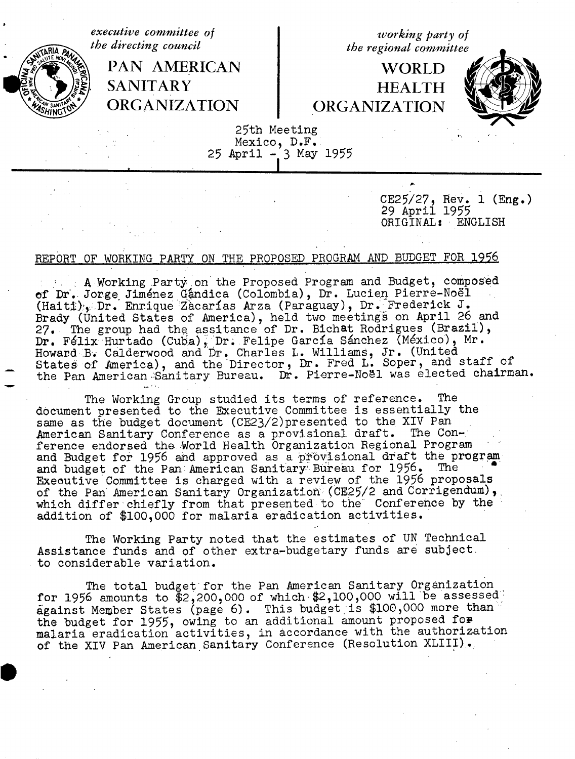*executive committee of*<br> *the directing council the regional committee* 

# PAN AMERICAN | WORLD **SANITARY HEALTH ORGANIZATION CRGANIZATION**



25th Meeting Mexico, D.F. 25 April - 3 May 1955

**I**

CE25/27, Rev. 1 (Eng.) 29 April 1955 ORIGINAL: ENGLISH

# REPORT OF WORKING PARTY ON THE PROPOSED PROGRAM AND BUDGET FOR 1956

; A Working .Party;,on the Proposed Program and Budget, composed of Dr. Jorge Jiménez Gandica (Colombia), Dr. Lucien Pierre-Noël (Haiti). Dr. Enrique Zacarías Arza (Paraguay), Dr. Frederick J. Brady (United States of America), held two meetings on April 26 and 27. The group had the assitance of Dr. Bichat Rodrigues (Brazil), Dr. F6lix Hurtado (Cu1ba), Dr, Felipe Garcia Sanchez (M6xico'), Mr. Howard -B. Calderwood and Dr. Charles L. Williams, Jr. (United States of America), and the Director, Dr. Fred L. Soper, and staff of the Pan American Sanitary Bureau. Dr. Pierre-Noël was elected chairman.

The Working Group studied its terms of reference. The document presented to the Executive Committee is essentially the same as the budget document (CE23/2)presented to the XIV Pan<br>American Sanitary Conference as a provisional draft. The Con-American Sanitary Conference as a provisional draft. The Con-<br>ference endorsed the World Health Organization Regional Program and Budget for 1956 and approved as a provisional draft the program and budget of the Pan American Sanitary Bureau for 1956. The Exeoutive Committee is charged with a review of the 1956 proposals of the Pan American Sanitary Organization: (CE25/2 and Corrigendum) which differ chiefly from that presented to the Conference by the addition of \$100,000 for malaria eradication activities.

The Working Party noted that the estimates of UN Technical Assistance funds and of other extra-budgetary funds are subject to considerable variation.

The total budget for the Pan American Sanitary Organization for 1956 amounts to \$2,200,000 of which \$2,100,000 will be assessed: against Member States (page 6). This budget is \$100,000 more than the budget for 1955, owing to an additional amount proposed for malaria eradication activities, in accordance with the authorization of the XIV Pan American Sanitary Conference (Resolution XLIII)..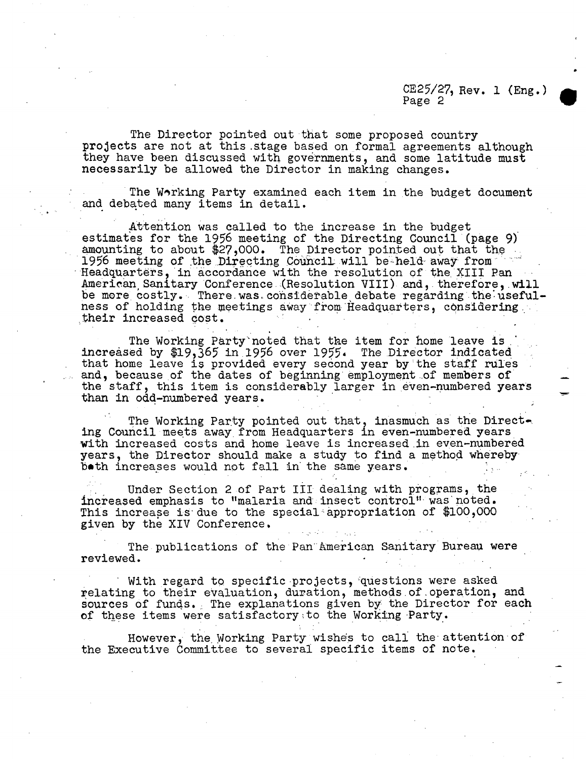CE25/27, Rev. 1 (Eng.)<br>Page 2

The Director pointed out that some proposed country projects are not at this.stage based on formal agreements although they have been discussed with governments, and some latitude must necessarily be allowed the Director in making changes.

The Working Party examined each item in the budget document and debated many items in detail.

Attention was called to the increase in the budget estimates for the 1956 meeting of the Directing Council (page 9) amounting to about \$27,000. The Director pointed out that the 1956 meeting of the Directing Council will be held- away from-Headquarters, in accordance with the resolution of the XIII Pan American Sanitary Conference (Resolution VIII) and, therefore, will be more costly. There.was.considerable debate regarding the usefulness of holding the meetings away from Headquarters, considering, their increased cost.

The Working Party noted that the item for home leave is increased by \$19,365 in 1956 over 1955. The Director indicated that home leave is provided every second year by'the staff rules and, because of the dates of beginning employment of members of the staff, this item is considerably larger in even-numbered years than in odd-numbered years.

The Working Party pointed out that, inasmuch as the Directing Council meets away from Headquarters in even-numbered years with increased costs and home leave is increased.in even-numbered years, the Director should make a study to find a method whereby both increases would not fall in the same years.

Under Section 2 of Part III dealing with programs, the increased emphasis to "malaria and insect control" was noted. This increase is due to the special'appropriation of \$100,000 given by the XIV Conference.

The publications of the Pan American Sanitary Bureau were reviewed.

With regard to specific projects, questions were asked relating to their evaluation, duration, methods .of.operation, and sources of funds. The explanations given by the Director for each of these items were satisfactory to the Working Party.

However, the Working Party wishes to call the attention of the Executive Committee to several specific items of note.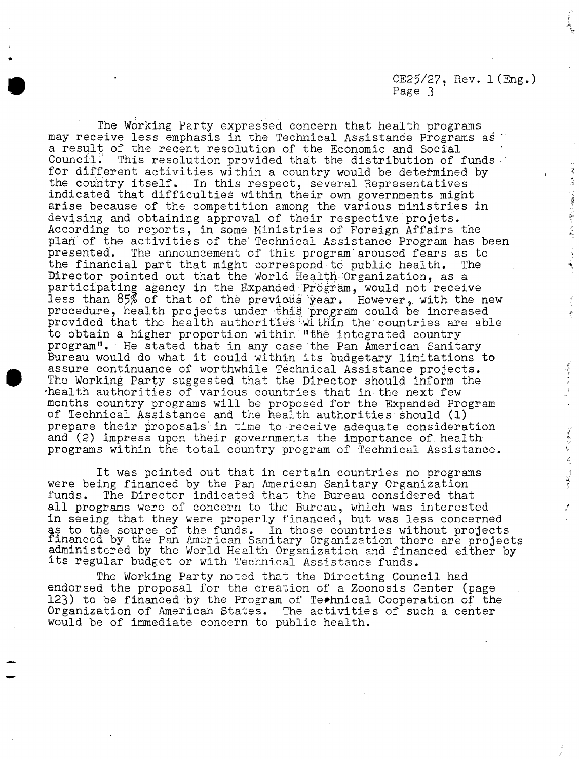## CE25/27, Rev. l(Eng.) Page 3

在 医间隔的 化二苯甲基苯甲基苯甲

يان المسلمان المسلمان المسلمان

 $\label{eq:4} \eta^{\mu\nu} \in \mathbb{R}^{n_{\text{max}}},$ 

 $\partial \mathbf{A} \mathbf{B}_{\text{obs}}$  , and

The Working Party expressed concern that health programs may receive less emphasis in the Technical Assistance Programs as a result of the recent resolution of the Economic and Social Council. This resolution provided that the distribution of i This resolution provided that the distribution of fundsfor different activities within a country would be determined by the country itself. In this respect, several Representatives indicated that difficulties within their own governments might arise because of the competition among the various ministries in devising and obtaining approval of their respective projets. According to reports, in some Ministries of Foreign Affairs the plan of the activities of the Technical Assistance Program has been presented. The announcement of this program aroused fears as to The announcement of this program aroused fears as to<br>al part that might correspond to public health. The the financial part that might correspond to public health. Director pointed out that the World Health Organization, as a participating agency in the Expanded Program, would not receive less than 85% of that of the previous year. However, with the new procedure, health projects under this program could be increased provided that the health authorities within the countries are able to obtain a higher proportion within "the integrated country program". He stated that in any case the Pan American Sanitary Bureau would do what it could within its budgetary limitations to assure continuance of worthwhile Technical Assistance projects. The Working Party suggested that the Director should inform the -health authorities of various countries that in the next few months country programs will be proposed for the Expanded Program of Technical Assistance and the health authorities should (1) prepare their proposals in time to receive adequate consideration and (2) impress upon their governments the importance of health programs within the total country program of Technical Assistance.

It was pointed out that in certain countries no programs were being financed by the Pan American Sanitary Organization funds. The Director indicated that the Bureau considered that all programs were of concern to the Bureau, which was interested in seeing that they were properly financed, but was less concerned as to the source of the funds. In those countries without projects financed by the Pan American Sanitary Organization there are projects administered by the World Health Organization and financed either by its regular budget or with Technical Assistance funds.

The Working Party noted that the Directing Council had endorsed the proposal for the creation of a Zoonosis Center (page 123) to be financed by the Program of Technical Cooperation of the Organization of American States. The activities of such a center would be of immediate concern to public health.